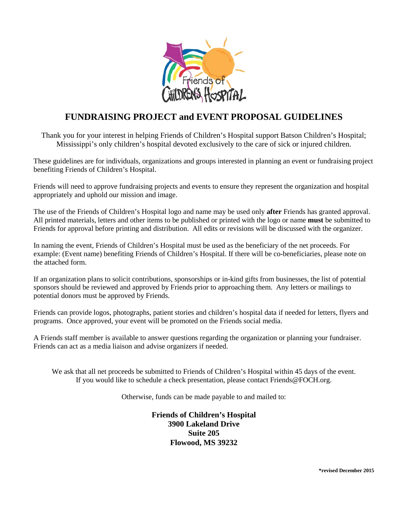

## **FUNDRAISING PROJECT and EVENT PROPOSAL GUIDELINES**

Thank you for your interest in helping Friends of Children's Hospital support Batson Children's Hospital; Mississippi's only children's hospital devoted exclusively to the care of sick or injured children.

These guidelines are for individuals, organizations and groups interested in planning an event or fundraising project benefiting Friends of Children's Hospital.

Friends will need to approve fundraising projects and events to ensure they represent the organization and hospital appropriately and uphold our mission and image.

The use of the Friends of Children's Hospital logo and name may be used only **after** Friends has granted approval. All printed materials, letters and other items to be published or printed with the logo or name **must** be submitted to Friends for approval before printing and distribution. All edits or revisions will be discussed with the organizer.

In naming the event, Friends of Children's Hospital must be used as the beneficiary of the net proceeds. For example: (Event name) benefiting Friends of Children's Hospital. If there will be co-beneficiaries, please note on the attached form.

If an organization plans to solicit contributions, sponsorships or in-kind gifts from businesses, the list of potential sponsors should be reviewed and approved by Friends prior to approaching them. Any letters or mailings to potential donors must be approved by Friends.

Friends can provide logos, photographs, patient stories and children's hospital data if needed for letters, flyers and programs. Once approved, your event will be promoted on the Friends social media.

A Friends staff member is available to answer questions regarding the organization or planning your fundraiser. Friends can act as a media liaison and advise organizers if needed.

We ask that all net proceeds be submitted to Friends of Children's Hospital within 45 days of the event. If you would like to schedule a check presentation, please contact Friends@FOCH.org.

Otherwise, funds can be made payable to and mailed to:

**Friends of Children's Hospital 3900 Lakeland Drive Suite 205 Flowood, MS 39232**

**\*revised December 2015**